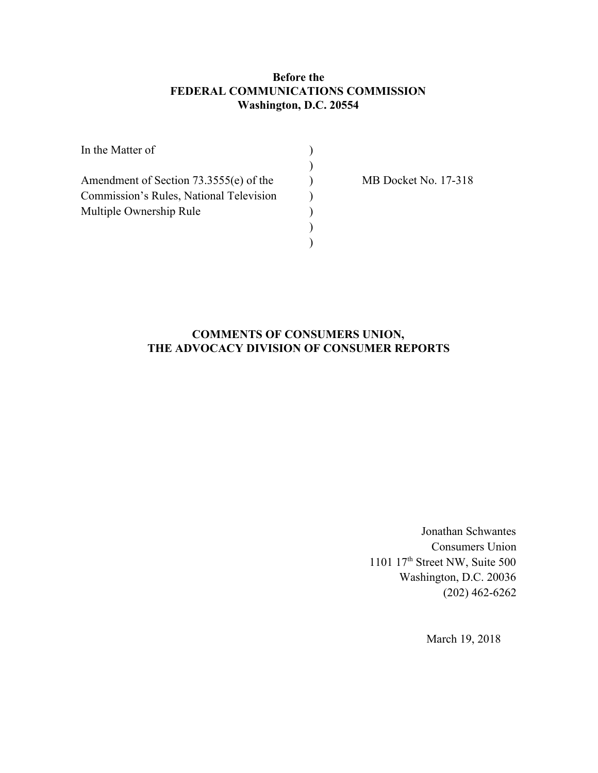## **Before the FEDERAL COMMUNICATIONS COMMISSION Washington, D.C. 20554**

| In the Matter of                        |  |
|-----------------------------------------|--|
|                                         |  |
| Amendment of Section 73.3555(e) of the  |  |
| Commission's Rules, National Television |  |
| Multiple Ownership Rule                 |  |
|                                         |  |
|                                         |  |

MB Docket No. 17-318

# **COMMENTS OF CONSUMERS UNION, THE ADVOCACY DIVISION OF CONSUMER REPORTS**

Jonathan Schwantes Consumers Union 1101 17th Street NW, Suite 500 Washington, D.C. 20036 (202) 462-6262

March 19, 2018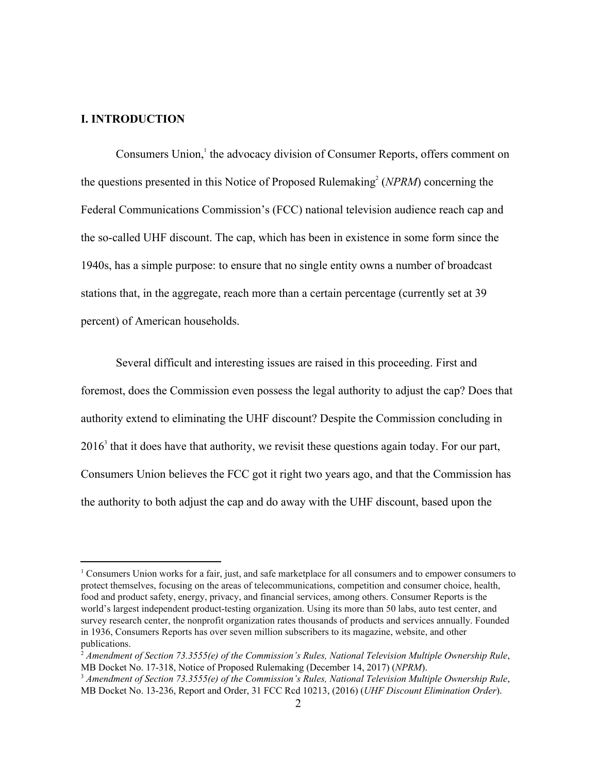#### **I. INTRODUCTION**

Consumers Union,<sup>1</sup> the advocacy division of Consumer Reports, offers comment on the questions presented in this Notice of Proposed Rulemaking<sup>2</sup> (*NPRM*) concerning the Federal Communications Commission's (FCC) national television audience reach cap and the so-called UHF discount. The cap, which has been in existence in some form since the 1940s, has a simple purpose: to ensure that no single entity owns a number of broadcast stations that, in the aggregate, reach more than a certain percentage (currently set at 39 percent) of American households.

Several difficult and interesting issues are raised in this proceeding. First and foremost, does the Commission even possess the legal authority to adjust the cap? Does that authority extend to eliminating the UHF discount? Despite the Commission concluding in  $2016<sup>3</sup>$  that it does have that authority, we revisit these questions again today. For our part, Consumers Union believes the FCC got it right two years ago, and that the Commission has the authority to both adjust the cap and do away with the UHF discount, based upon the

<sup>1</sup> Consumers Union works for a fair, just, and safe marketplace for all consumers and to empower consumers to protect themselves, focusing on the areas of telecommunications, competition and consumer choice, health, food and product safety, energy, privacy, and financial services, among others. Consumer Reports is the world's largest independent product-testing organization. Using its more than 50 labs, auto test center, and survey research center, the nonprofit organization rates thousands of products and services annually. Founded in 1936, Consumers Reports has over seven million subscribers to its magazine, website, and other publications.

<sup>2</sup> *Amendment of Section 73.3555(e) of the Commission's Rules, National Television Multiple Ownership Rule*, MB Docket No. 17-318, Notice of Proposed Rulemaking (December 14, 2017) (*NPRM*).

<sup>3</sup> *Amendment of Section 73.3555(e) of the Commission's Rules, National Television Multiple Ownership Rule*, MB Docket No. 13-236, Report and Order, 31 FCC Rcd 10213, (2016) (*UHF Discount Elimination Order*).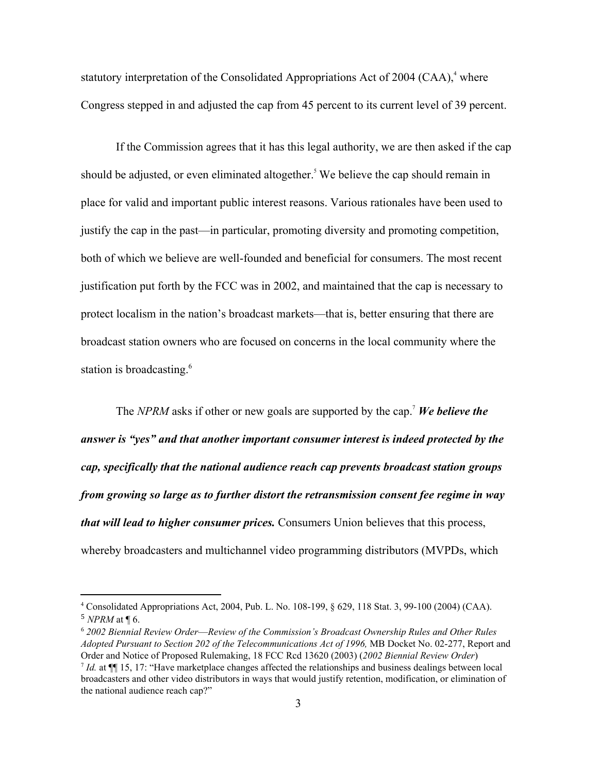statutory interpretation of the Consolidated Appropriations Act of 2004 (CAA), $4$  where Congress stepped in and adjusted the cap from 45 percent to its current level of 39 percent.

If the Commission agrees that it has this legal authority, we are then asked if the cap should be adjusted, or even eliminated altogether.<sup>5</sup> We believe the cap should remain in place for valid and important public interest reasons. Various rationales have been used to justify the cap in the past—in particular, promoting diversity and promoting competition, both of which we believe are well-founded and beneficial for consumers. The most recent justification put forth by the FCC was in 2002, and maintained that the cap is necessary to protect localism in the nation's broadcast markets—that is, better ensuring that there are broadcast station owners who are focused on concerns in the local community where the station is broadcasting.<sup>6</sup>

The *NPRM* asks if other or new goals are supported by the cap.<sup>7</sup> We believe the *answer is "yes" and that another important consumer interest is indeed protected by the cap, specifically that the national audience reach cap prevents broadcast station groups from growing so large as to further distort the retransmission consent fee regime in way that will lead to higher consumer prices.* Consumers Union believes that this process, whereby broadcasters and multichannel video programming distributors (MVPDs, which

<sup>4</sup> Consolidated Appropriations Act, 2004, Pub. L. No. 108-199, § 629, 118 Stat. 3, 99-100 (2004) (CAA). <sup>5</sup> *NPRM* at ¶ 6.

<sup>6</sup> *2002 Biennial Review Order*—*Review of the Commission's Broadcast Ownership Rules and Other Rules Adopted Pursuant to Section 202 of the Telecommunications Act of 1996,* MB Docket No. 02-277, Report and Order and Notice of Proposed Rulemaking, 18 FCC Rcd 13620 (2003) (*2002 Biennial Review Order*)

*Id.* at  $\P$ [15, 17: "Have marketplace changes affected the relationships and business dealings between local broadcasters and other video distributors in ways that would justify retention, modification, or elimination of the national audience reach cap?"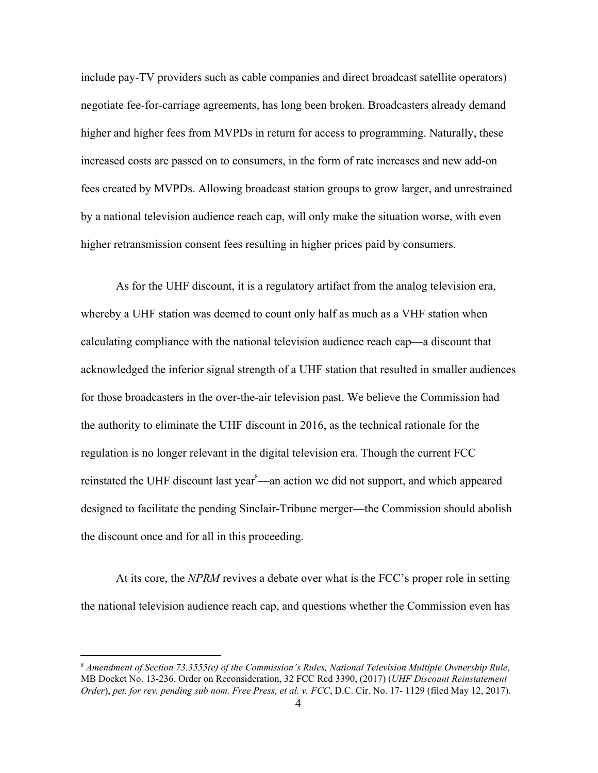include pay-TV providers such as cable companies and direct broadcast satellite operators) negotiate fee-for-carriage agreements, has long been broken. Broadcasters already demand higher and higher fees from MVPDs in return for access to programming. Naturally, these increased costs are passed on to consumers, in the form of rate increases and new add-on fees created by MVPDs. Allowing broadcast station groups to grow larger, and unrestrained by a national television audience reach cap, will only make the situation worse, with even higher retransmission consent fees resulting in higher prices paid by consumers.

As for the UHF discount, it is a regulatory artifact from the analog television era, whereby a UHF station was deemed to count only half as much as a VHF station when calculating compliance with the national television audience reach cap—a discount that acknowledged the inferior signal strength of a UHF station that resulted in smaller audiences for those broadcasters in the over-the-air television past. We believe the Commission had the authority to eliminate the UHF discount in 2016, as the technical rationale for the regulation is no longer relevant in the digital television era. Though the current FCC reinstated the UHF discount last year<sup>8</sup>—an action we did not support, and which appeared designed to facilitate the pending Sinclair-Tribune merger—the Commission should abolish the discount once and for all in this proceeding.

At its core, the *NPRM* revives a debate over what is the FCC's proper role in setting the national television audience reach cap, and questions whether the Commission even has

<sup>8</sup> *Amendment of Section 73.3555(e) of the Commission's Rules, National Television Multiple Ownership Rule*, MB Docket No. 13-236, Order on Reconsideration, 32 FCC Rcd 3390, (2017) (*UHF Discount Reinstatement Order*), *pet. for rev. pending sub nom. Free Press, et al. v. FCC*, D.C. Cir. No. 17- 1129 (filed May 12, 2017).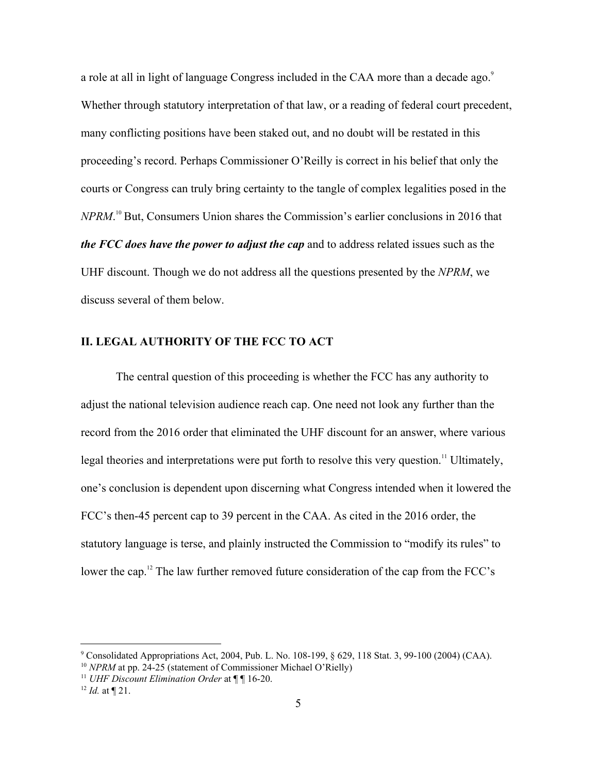a role at all in light of language Congress included in the CAA more than a decade ago.<sup>9</sup> Whether through statutory interpretation of that law, or a reading of federal court precedent, many conflicting positions have been staked out, and no doubt will be restated in this proceeding's record. Perhaps Commissioner O'Reilly is correct in his belief that only the courts or Congress can truly bring certainty to the tangle of complex legalities posed in the *NPRM*.<sup>10</sup> But, Consumers Union shares the Commission's earlier conclusions in 2016 that *the FCC does have the power to adjust the cap* and to address related issues such as the UHF discount. Though we do not address all the questions presented by the *NPRM*, we discuss several of them below.

#### **II. LEGAL AUTHORITY OF THE FCC TO ACT**

The central question of this proceeding is whether the FCC has any authority to adjust the national television audience reach cap. One need not look any further than the record from the 2016 order that eliminated the UHF discount for an answer, where various legal theories and interpretations were put forth to resolve this very question.<sup>11</sup> Ultimately, one's conclusion is dependent upon discerning what Congress intended when it lowered the FCC's then-45 percent cap to 39 percent in the CAA. As cited in the 2016 order, the statutory language is terse, and plainly instructed the Commission to "modify its rules" to lower the cap.<sup>12</sup> The law further removed future consideration of the cap from the FCC's

<sup>9</sup> Consolidated Appropriations Act, 2004, Pub. L. No. 108-199, § 629, 118 Stat. 3, 99-100 (2004) (CAA).

<sup>&</sup>lt;sup>10</sup> *NPRM* at pp. 24-25 (statement of Commissioner Michael O'Rielly)

<sup>11</sup> *UHF Discount Elimination Order* at ¶ ¶ 16-20.

 $12$  *Id.* at  $\P$  21.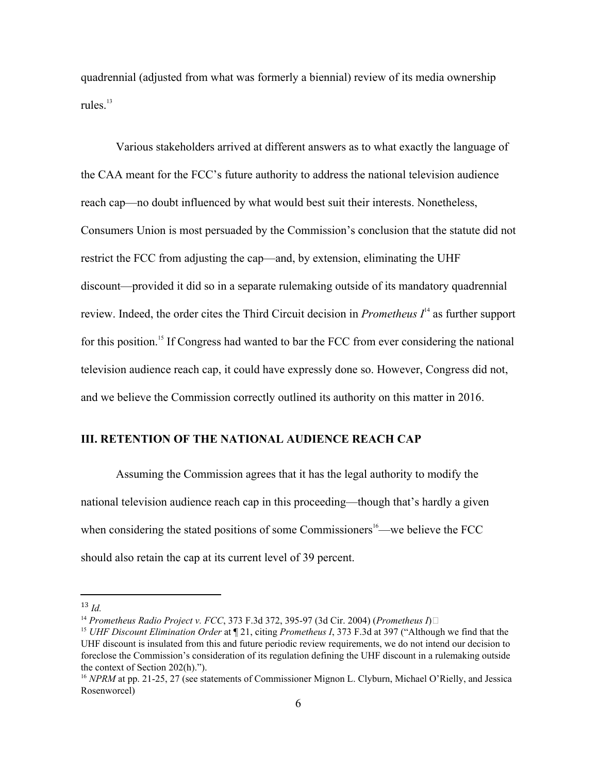quadrennial (adjusted from what was formerly a biennial) review of its media ownership rules $13$ 

Various stakeholders arrived at different answers as to what exactly the language of the CAA meant for the FCC's future authority to address the national television audience reach cap—no doubt influenced by what would best suit their interests. Nonetheless, Consumers Union is most persuaded by the Commission's conclusion that the statute did not restrict the FCC from adjusting the cap—and, by extension, eliminating the UHF discount—provided it did so in a separate rulemaking outside of its mandatory quadrennial review. Indeed, the order cites the Third Circuit decision in *Prometheus*  $I<sup>14</sup>$  as further support for this position.<sup>15</sup> If Congress had wanted to bar the FCC from ever considering the national television audience reach cap, it could have expressly done so. However, Congress did not, and we believe the Commission correctly outlined its authority on this matter in 2016.

## **III. RETENTION OF THE NATIONAL AUDIENCE REACH CAP**

Assuming the Commission agrees that it has the legal authority to modify the national television audience reach cap in this proceeding—though that's hardly a given when considering the stated positions of some Commissioners<sup>16</sup>—we believe the FCC should also retain the cap at its current level of 39 percent.

<sup>13</sup> *Id.*

<sup>14</sup> *Prometheus Radio Project v. FCC*, 373 F.3d 372, 395-97 (3d Cir. 2004) (*Prometheus I*)

<sup>15</sup> *UHF Discount Elimination Order* at ¶ 21, citing *Prometheus I*, 373 F.3d at 397 ("Although we find that the UHF discount is insulated from this and future periodic review requirements, we do not intend our decision to foreclose the Commission's consideration of its regulation defining the UHF discount in a rulemaking outside the context of Section 202(h).").

<sup>&</sup>lt;sup>16</sup> *NPRM* at pp. 21-25, 27 (see statements of Commissioner Mignon L. Clyburn, Michael O'Rielly, and Jessica Rosenworcel)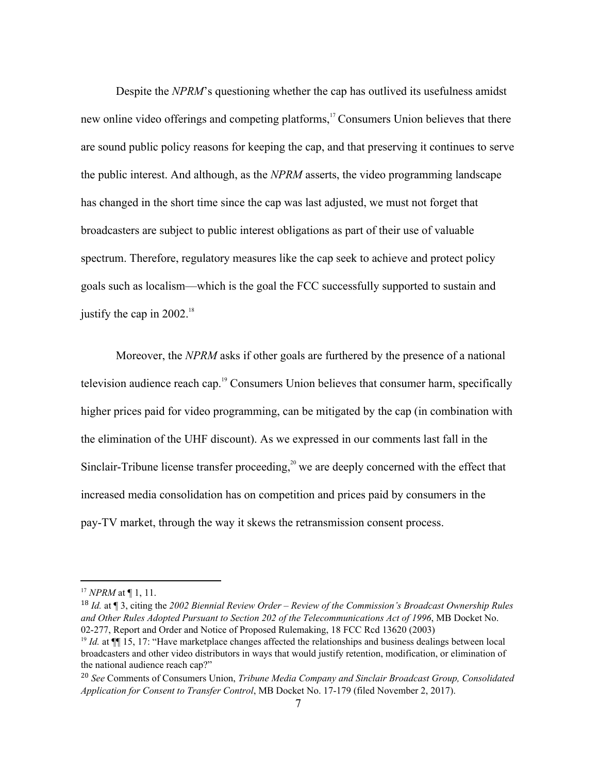Despite the *NPRM*'s questioning whether the cap has outlived its usefulness amidst new online video offerings and competing platforms,<sup>17</sup> Consumers Union believes that there are sound public policy reasons for keeping the cap, and that preserving it continues to serve the public interest. And although, as the *NPRM* asserts, the video programming landscape has changed in the short time since the cap was last adjusted, we must not forget that broadcasters are subject to public interest obligations as part of their use of valuable spectrum. Therefore, regulatory measures like the cap seek to achieve and protect policy goals such as localism—which is the goal the FCC successfully supported to sustain and justify the cap in  $2002$ .<sup>18</sup>

Moreover, the *NPRM* asks if other goals are furthered by the presence of a national television audience reach cap.<sup>19</sup> Consumers Union believes that consumer harm, specifically higher prices paid for video programming, can be mitigated by the cap (in combination with the elimination of the UHF discount). As we expressed in our comments last fall in the Sinclair-Tribune license transfer proceeding,<sup>20</sup> we are deeply concerned with the effect that increased media consolidation has on competition and prices paid by consumers in the pay-TV market, through the way it skews the retransmission consent process.

<sup>17</sup> *NPRM* at ¶ 1, 11.

<sup>18</sup> *Id.* at ¶ 3, citing the *2002 Biennial Review Order* – *Review of the Commission's Broadcast Ownership Rules and Other Rules Adopted Pursuant to Section 202 of the Telecommunications Act of 1996*, MB Docket No. 02-277, Report and Order and Notice of Proposed Rulemaking, 18 FCC Rcd 13620 (2003)

<sup>&</sup>lt;sup>19</sup> *Id.* at ¶[ 15, 17: "Have marketplace changes affected the relationships and business dealings between local broadcasters and other video distributors in ways that would justify retention, modification, or elimination of the national audience reach cap?"

<sup>20</sup> *See* Comments of Consumers Union, *Tribune Media Company and Sinclair Broadcast Group, Consolidated Application for Consent to Transfer Control*, MB Docket No. 17-179 (filed November 2, 2017).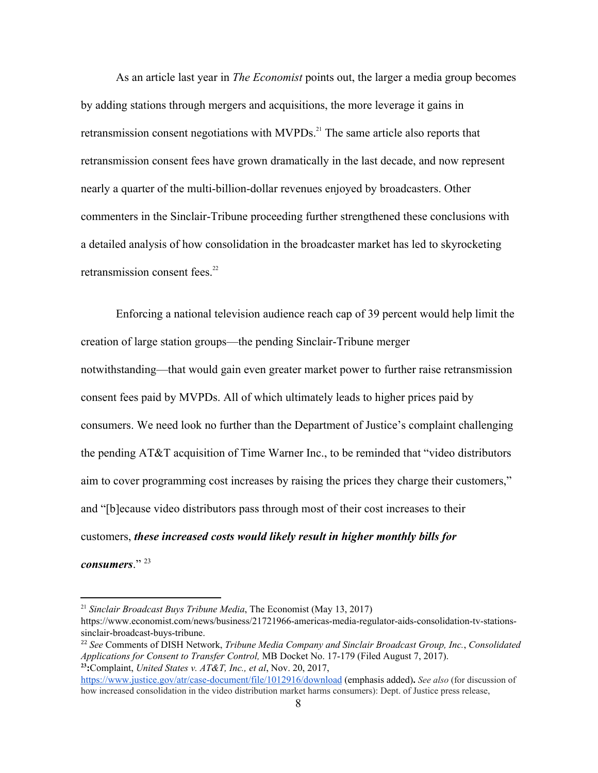As an article last year in *The Economist* points out, the larger a media group becomes by adding stations through mergers and acquisitions, the more leverage it gains in retransmission consent negotiations with  $MVPDs<sup>21</sup>$ . The same article also reports that retransmission consent fees have grown dramatically in the last decade, and now represent nearly a quarter of the multi-billion-dollar revenues enjoyed by broadcasters. Other commenters in the Sinclair-Tribune proceeding further strengthened these conclusions with a detailed analysis of how consolidation in the broadcaster market has led to skyrocketing retransmission consent fees.<sup>22</sup>

Enforcing a national television audience reach cap of 39 percent would help limit the creation of large station groups—the pending Sinclair-Tribune merger notwithstanding—that would gain even greater market power to further raise retransmission consent fees paid by MVPDs. All of which ultimately leads to higher prices paid by consumers. We need look no further than the Department of Justice's complaint challenging the pending AT&T acquisition of Time Warner Inc., to be reminded that "video distributors aim to cover programming cost increases by raising the prices they charge their customers," and "[b]ecause video distributors pass through most of their cost increases to their customers, *these increased costs would likely result in higher monthly bills for consumers*." <sup>23</sup>

<sup>21</sup> *Sinclair Broadcast Buys Tribune Media*, The Economist (May 13, 2017) https://www.economist.com/news/business/21721966-americas-media-regulator-aids-consolidation-tv-stationssinclair-broadcast-buys-tribune.

<sup>22</sup> *See* Comments of DISH Network, *Tribune Media Company and Sinclair Broadcast Group, Inc.*, *Consolidated Applications for Consent to Transfer Control,* MB Docket No. 17-179 (Filed August 7, 2017). **<sup>23</sup>:**Complaint, *United States v. AT&T, Inc., et al*, Nov. 20, 2017,

<https://www.justice.gov/atr/case-document/file/1012916/download> (emphasis added)**.** *See also* (for discussion of how increased consolidation in the video distribution market harms consumers): Dept. of Justice press release,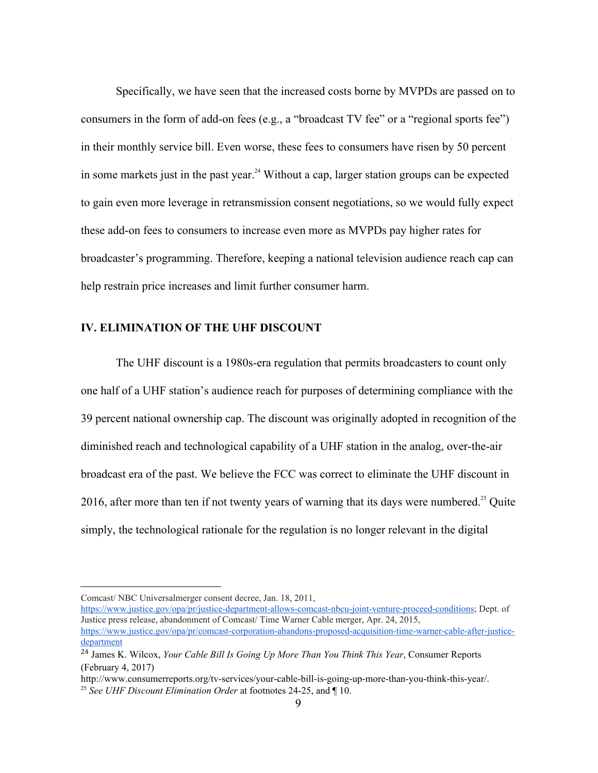Specifically, we have seen that the increased costs borne by MVPDs are passed on to consumers in the form of add-on fees (e.g., a "broadcast TV fee" or a "regional sports fee") in their monthly service bill. Even worse, these fees to consumers have risen by 50 percent in some markets just in the past year.<sup>24</sup> Without a cap, larger station groups can be expected to gain even more leverage in retransmission consent negotiations, so we would fully expect these add-on fees to consumers to increase even more as MVPDs pay higher rates for broadcaster's programming. Therefore, keeping a national television audience reach cap can help restrain price increases and limit further consumer harm.

## **IV. ELIMINATION OF THE UHF DISCOUNT**

The UHF discount is a 1980s-era regulation that permits broadcasters to count only one half of a UHF station's audience reach for purposes of determining compliance with the 39 percent national ownership cap. The discount was originally adopted in recognition of the diminished reach and technological capability of a UHF station in the analog, over-the-air broadcast era of the past. We believe the FCC was correct to eliminate the UHF discount in 2016, after more than ten if not twenty years of warning that its days were numbered.<sup>25</sup> Quite simply, the technological rationale for the regulation is no longer relevant in the digital

Comcast/ NBC Universalmerger consent decree, Jan. 18, 2011,

<https://www.justice.gov/opa/pr/justice-department-allows-comcast-nbcu-joint-venture-proceed-conditions>; Dept. of Justice press release, abandonment of Comcast/ Time Warner Cable merger, Apr. 24, 2015, [https://www.justice.gov/opa/pr/comcast-corporation-abandons-proposed-acquisition-time-warner-cable-after-justice-](https://www.justice.gov/opa/pr/comcast-corporation-abandons-proposed-acquisition-time-warner-cable-after-justice-department)

[department](https://www.justice.gov/opa/pr/comcast-corporation-abandons-proposed-acquisition-time-warner-cable-after-justice-department) 24 James K. Wilcox, *Your Cable Bill Is Going Up More Than You Think This Year*, Consumer Reports

<sup>(</sup>February 4, 2017)

http://www.consumerreports.org/tv-services/your-cable-bill-is-going-up-more-than-you-think-this-year/. <sup>25</sup> *See UHF Discount Elimination Order* at footnotes 24-25, and ¶ 10.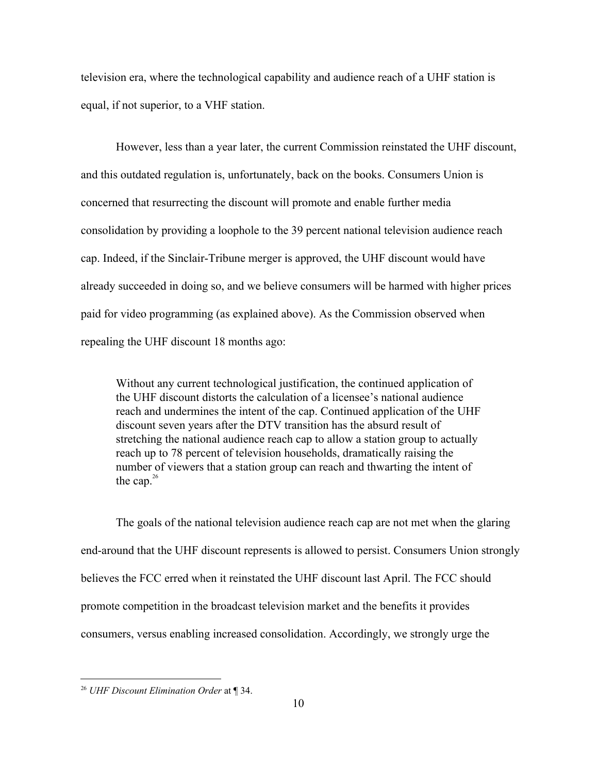television era, where the technological capability and audience reach of a UHF station is equal, if not superior, to a VHF station.

However, less than a year later, the current Commission reinstated the UHF discount, and this outdated regulation is, unfortunately, back on the books. Consumers Union is concerned that resurrecting the discount will promote and enable further media consolidation by providing a loophole to the 39 percent national television audience reach cap. Indeed, if the Sinclair-Tribune merger is approved, the UHF discount would have already succeeded in doing so, and we believe consumers will be harmed with higher prices paid for video programming (as explained above). As the Commission observed when repealing the UHF discount 18 months ago:

Without any current technological justification, the continued application of the UHF discount distorts the calculation of a licensee's national audience reach and undermines the intent of the cap. Continued application of the UHF discount seven years after the DTV transition has the absurd result of stretching the national audience reach cap to allow a station group to actually reach up to 78 percent of television households, dramatically raising the number of viewers that a station group can reach and thwarting the intent of the cap. $26$ 

The goals of the national television audience reach cap are not met when the glaring end-around that the UHF discount represents is allowed to persist. Consumers Union strongly believes the FCC erred when it reinstated the UHF discount last April. The FCC should promote competition in the broadcast television market and the benefits it provides consumers, versus enabling increased consolidation. Accordingly, we strongly urge the

<sup>26</sup> *UHF Discount Elimination Order* at ¶ 34.